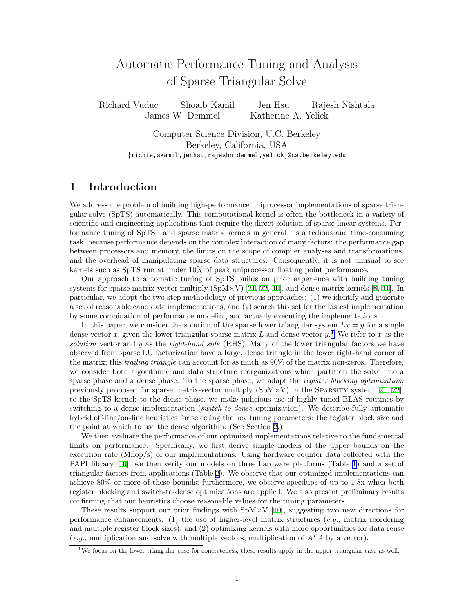# Automatic Performance Tuning and Analysis of Sparse Triangular Solve

Richard Vuduc Shoaib Kamil Jen Hsu Rajesh Nishtala James W. Demmel Katherine A. Yelick

> Computer Science Division, U.C. Berkeley Berkeley, California, USA {richie,skamil,jenhsu,rajeshn,demmel,yelick}@cs.berkeley.edu

### 1 Introduction

We address the problem of building high-performance uniprocessor implementations of sparse triangular solve (SpTS) automatically. This computational kernel is often the bottleneck in a variety of scientific and engineering applications that require the direct solution of sparse linear systems. Performance tuning of SpTS—and sparse matrix kernels in general—is a tedious and time-consuming task, because performance depends on the complex interaction of many factors: the performance gap between processors and memory, the limits on the scope of compiler analyses and transformations, and the overhead of manipulating sparse data structures. Consequently, it is not unusual to see kernels such as SpTS run at under 10% of peak uniprocessor floating point performance.

Our approach to automatic tuning of SpTS builds on prior experience with building tuning systemsfor sparse matrix-vector multiply  $(SpM\times V)$  [\[21](#page-11-0), [22,](#page-11-1) [40](#page-11-2)], and dense matrix kernels [[8,](#page-10-0) [41](#page-11-3)]. In particular, we adopt the two-step methodology of previous approaches: (1) we identify and generate a set of reasonable candidate implementations, and (2) search this set for the fastest implementation by some combination of performance modeling and actually executing the implementations.

In this paper, we consider the solution of the sparse lower triangular system  $Lx = y$  for a single dense vector x, given the lower triangular sparse matrix L and dense vector  $y$ .<sup>[1](#page-0-0)</sup> We refer to x as the solution vector and  $y$  as the right-hand side (RHS). Many of the lower triangular factors we have observed from sparse LU factorization have a large, dense triangle in the lower right-hand corner of the matrix; this *trailing triangle* can account for as much as  $90\%$  of the matrix non-zeros. Therefore, we consider both algorithmic and data structure reorganizations which partition the solve into a sparse phase and a dense phase. To the sparse phase, we adapt the register blocking optimization, previouslyproposed for sparse matrix-vector multiply  $(SpM\times V)$  in the Sparsity system [[21,](#page-11-0) [22](#page-11-1)], to the SpTS kernel; to the dense phase, we make judicious use of highly tuned BLAS routines by switching to a dense implementation (switch-to-dense optimization). We describe fully automatic hybrid off-line/on-line heuristics for selecting the key tuning parameters: the register block size and the point at which to use the dense algorithm. (See Section [2](#page-1-0).)

We then evaluate the performance of our optimized implementations relative to the fundamental limits on performance. Specifically, we first derive simple models of the upper bounds on the execution rate (Mflop/s) of our implementations. Using hardware counter data collected with the PAPI library[[10\]](#page-10-1), we then verify our models on three hardware platforms (Table [1\)](#page-1-1) and a set of triangular factors from applications (Table [2\)](#page-1-2). We observe that our optimized implementations can achieve 80% or more of these bounds; furthermore, we observe speedups of up to 1.8x when both register blocking and switch-to-dense optimizations are applied. We also present preliminary results confirming that our heuristics choose reasonable values for the tuning parameters.

These results support our prior findings with  $SpM \times V$  [\[40](#page-11-2)], suggesting two new directions for performance enhancements: (1) the use of higher-level matrix structures (e.g., matrix reordering and multiple register block sizes), and (2) optimizing kernels with more opportunities for data reuse (e.g., multiplication and solve with multiple vectors, multiplication of  $A<sup>T</sup>A$  by a vector).

<span id="page-0-0"></span><sup>&</sup>lt;sup>1</sup>We focus on the lower triangular case for concreteness; these results apply in the upper triangular case as well.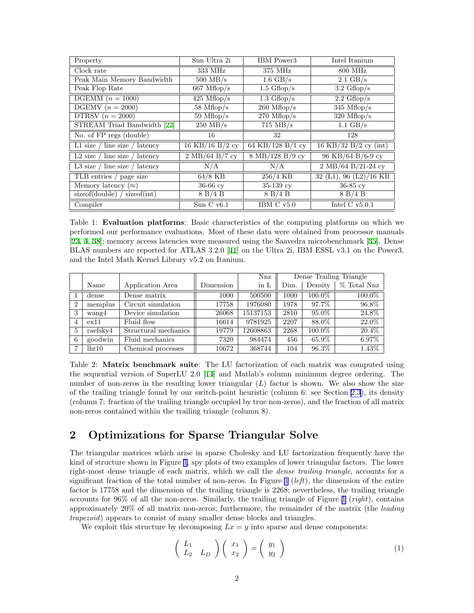| Property                          | Sun Ultra 2i                             | IBM Power3                                | Intel Itanium                                |  |
|-----------------------------------|------------------------------------------|-------------------------------------------|----------------------------------------------|--|
| Clock rate                        | 333 MHz                                  | 375 MHz                                   | 800 MHz                                      |  |
| Peak Main Memory Bandwidth        | $500$ MB/s                               | $1.6 \text{ GB/s}$                        | $2.1 \text{ GB/s}$                           |  |
| Peak Flop Rate                    | $667 \text{ Mflop/s}$                    | $1.5 \text{ Gflop/s}$                     | $3.2 \text{ Gflop/s}$                        |  |
| DGEMM $(n=1000)$                  | $425 \text{ Mflop/s}$                    | $1.3 \text{ Gflop/s}$                     | $2.2 \text{ Gflop/s}$                        |  |
| DGEMV $(n=2000)$                  | $58 \text{ Mflop/s}$                     | $260$ Mflop/s                             | $345$ Mflop/s                                |  |
| DTRSV $(n = 2000)$                | $59 \text{ Mflop/s}$                     | $270$ Mflop/s                             | $\overline{320}$ Mflop/s                     |  |
| STREAM Triad Bandwidth [27]       | $\overline{250 \text{ MB/s}}$            | $715 \text{ MB/s}$                        | $1.1 \text{ GB/s}$                           |  |
| No. of FP regs (double)           | 16                                       | 32                                        | 128                                          |  |
| L1 size / line size / latency     | 16 KB/16 B/2 cy                          | 64 KB/128 B/1 cy                          | 16 KB/32 B/2 cy (int)                        |  |
| L2 size $/$ line size $/$ latency | $2 \text{ MB}/64 \text{ B}/7 \text{ cy}$ | $8 \text{ MB}/128 \text{ B}/9 \text{ cy}$ | $96$ KB/64 B/6-9 cy                          |  |
| L3 size / line size / latency     | N/A                                      | N/A                                       | $2 \text{ MB}/64 \text{ B}/21-24 \text{ cy}$ |  |
| TLB entries / page size           | $64/8$ KB                                | $256/4$ KB                                | 32 (L1), 96 (L2)/16 KB                       |  |
| Memory latency $(\approx)$        | $36-66$ cy                               | $35-139$ cv                               | $36-85$ cv                                   |  |
| sizeof(double)<br>sizeof(int)     | 8 B/4 B                                  | 8 B/4 B                                   | 8 B/4 B                                      |  |
| Compiler                          | Sun $C$ v $6.1$                          | IBM C $v5.0$                              | Intel $C$ v5.0.1                             |  |

<span id="page-1-1"></span>Table 1: Evaluation platforms: Basic characteristics of the computing platforms on which we performed our performance evaluations. Most of these data were obtained from processor manuals [[23,](#page-11-5) [4,](#page-10-2) [38](#page-11-6)]; memory access latencies were measured using the Saavedra microbenchmark [\[35](#page-11-7)]. Dense BLAS numbers are reported for ATLAS 3.2.0 [\[41\]](#page-11-3) on the Ultra 2i, IBM ESSL v3.1 on the Power3, and the Intel Math Kernel Library v5.2 on Itanium.

|                |          |                      |           | Nnz      | Dense Trailing Triangle |          |             |
|----------------|----------|----------------------|-----------|----------|-------------------------|----------|-------------|
|                | Name     | Application Area     | Dimension | in L     | Dim.                    | Density  | % Total Nnz |
|                | dense    | Dense matrix         | 1000      | 500500   | 1000                    | 100.0%   | 100.0%      |
| $\overline{2}$ | memplus  | Circuit simulation   | 17758     | 1976080  | 1978                    | 97.7%    | 96.8%       |
| 3              | wang4    | Device simulation    | 26068     | 15137153 | 2810                    | $95.0\%$ | 24.8%       |
| 4              | ex11     | Fluid flow           | 16614     | 9781925  | 2207                    | 88.0%    | 22.0%       |
| $\overline{5}$ | raefsky4 | Structural mechanics | 19779     | 12608863 | 2268                    | 100.0%   | 20.4%       |
| 6              | goodwin  | Fluid mechanics      | 7320      | 984474   | 456                     | 65.9%    | 6.97%       |
|                | lhr10    | Chemical processes   | 10672     | 368744   | 104                     | 96.3%    | 1.43%       |

<span id="page-1-2"></span>Table 2: Matrix benchmark suite: The LU factorization of each matrix was computed using the sequential version of SuperLU 2.0[[14\]](#page-10-3) and Matlab's column minimum degree ordering. The number of non-zeros in the resulting lower triangular  $(L)$  factor is shown. We also show the size of the trailing triangle found by our switch-point heuristic (column 6: see Section [2.3](#page-3-0)), its density (column 7: fraction of the trailing triangle occupied by true non-zeros), and the fraction of all matrix non-zeros contained within the trailing triangle (column 8).

## <span id="page-1-0"></span>2 Optimizations for Sparse Triangular Solve

The triangular matrices which arise in sparse Cholesky and LU factorization frequently have the kind of structure shown in Figure [1,](#page-2-0) spy plots of two examples of lower triangular factors. The lower right-most dense triangle of each matrix, which we call the dense trailing triangle, accounts for a significant fraction of the total number of non-zeros. In Figure [1](#page-2-0) (*left*), the dimension of the entire factor is 17758 and the dimension of the trailing triangle is 2268; nevertheless, the trailing triangle accounts for 96% of all the non-zeros. Similarly, the trailing triangle of Figure [1](#page-2-0) (*right*), contains approximately  $20\%$  of all matrix non-zeros; furthermore, the remainder of the matrix (the *leading* trapezoid) appears to consist of many smaller dense blocks and triangles.

We exploit this structure by decomposing  $Lx = y$  into sparse and dense components:

<span id="page-1-3"></span>
$$
\begin{pmatrix} L_1 \\ L_2 & L_D \end{pmatrix} \begin{pmatrix} x_1 \\ x_2 \end{pmatrix} = \begin{pmatrix} y_1 \\ y_2 \end{pmatrix}
$$
 (1)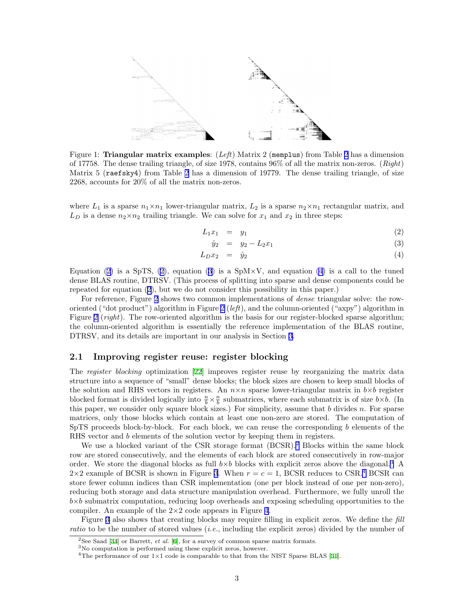

<span id="page-2-0"></span>Figure 1: **Triangular matrix examples**:  $(Left)$  Matrix [2](#page-1-2) (memplus) from Table 2 has a dimension of 17758. The dense trailing triangle, of size 1978, contains  $96\%$  of all the matrix non-zeros. (*Right*) Matrix 5 (raefsky4) from Table [2](#page-1-2) has a dimension of 19779. The dense trailing triangle, of size 2268, accounts for 20% of all the matrix non-zeros.

where  $L_1$  is a sparse  $n_1 \times n_1$  lower-triangular matrix,  $L_2$  is a sparse  $n_2 \times n_1$  rectangular matrix, and  $L_D$  is a dense  $n_2 \times n_2$  trailing triangle. We can solve for  $x_1$  and  $x_2$  in three steps:

$$
L_1 x_1 = y_1 \tag{2}
$$

<span id="page-2-1"></span>
$$
\hat{y}_2 = y_2 - L_2 x_1 \tag{3}
$$

$$
L_D x_2 = \hat{y}_2 \tag{4}
$$

Equation [\(2](#page-2-1))is a SpTS, ([2\)](#page-2-1), equation [\(3](#page-2-1)) is a SpM $\times$ V, and equation [\(4\)](#page-2-1) is a call to the tuned dense BLAS routine, DTRSV. (This process of splitting into sparse and dense components could be repeated for equation([2](#page-2-1)), but we do not consider this possibility in this paper.)

For reference, Figure [2](#page-4-0) shows two common implementations of dense triangular solve: the row-oriented ("dot product") algorithm in Figure [2](#page-4-0) (left), and the column-oriented ("axpy") algorithm in Figure [2](#page-4-0) (right). The row-oriented algorithm is the basis for our register-blocked sparse algorithm; the column-oriented algorithm is essentially the reference implementation of the BLAS routine, DTRSV, and its details are important in our analysis in Section [3](#page-3-1).

#### 2.1 Improving register reuse: register blocking

The register blocking optimization [\[22\]](#page-11-1) improves register reuse by reorganizing the matrix data structure into a sequence of "small" dense blocks; the block sizes are chosen to keep small blocks of the solution and RHS vectors in registers. An  $n \times n$  sparse lower-triangular matrix in  $b \times b$  register blocked format is divided logically into  $\frac{n}{b} \times \frac{n}{b}$  submatrices, where each submatrix is of size  $b \times b$ . (In this paper, we consider only square block sizes.) For simplicity, assume that  $b$  divides  $n$ . For sparse matrices, only those blocks which contain at least one non-zero are stored. The computation of SpTS proceeds block-by-block. For each block, we can reuse the corresponding b elements of the RHS vector and b elements of the solution vector by keeping them in registers.

We use a blocked variant of the CSR storage format (BCSR).<sup>[2](#page-2-2)</sup> Blocks within the same block row are stored consecutively, and the elements of each block are stored consecutively in row-major order. We store the diagonal blocks as full  $b \times b$  blocks with explicit zeros above the diagonal.<sup>[3](#page-2-3)</sup> A  $2\times 2$  example of BCSR is shown in Figure [3.](#page-4-1) When  $r = c = 1$ , BCSR reduces to CSR.<sup>[4](#page-2-4)</sup> BCSR can store fewer column indices than CSR implementation (one per block instead of one per non-zero), reducing both storage and data structure manipulation overhead. Furthermore, we fully unroll the  $b \times b$  submatrix computation, reducing loop overheads and exposing scheduling opportunities to the compiler. An example of the  $2\times 2$  code appears in Figure [4](#page-4-2).

Figure [3](#page-4-1) also shows that creating blocks may require filling in explicit zeros. We define the fill ratio to be the number of stored values *(i.e., including the explicit zeros)* divided by the number of

<span id="page-2-2"></span><sup>&</sup>lt;sup>2</sup>See Saad [\[34\]](#page-11-8) or Barrett, *et al.* [[6](#page-10-4)], for a survey of common sparse matrix formats.

<span id="page-2-3"></span><sup>3</sup>No computation is performed using these explicit zeros, however.

<span id="page-2-4"></span><sup>&</sup>lt;sup>4</sup>Theperformance of our  $1 \times 1$  code is comparable to that from the NIST Sparse BLAS [[31](#page-11-9)].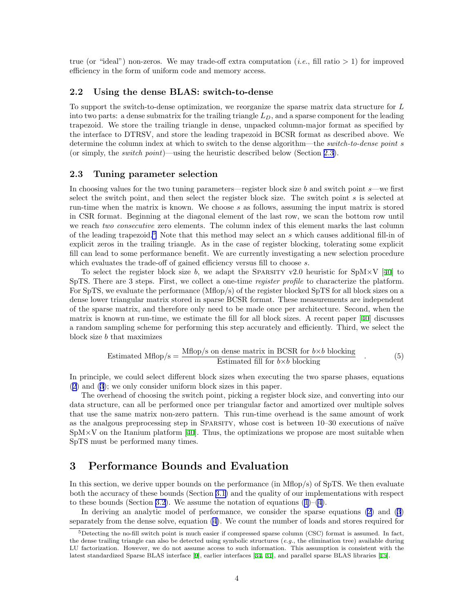true (or "ideal") non-zeros. We may trade-off extra computation (*i.e.*, fill ratio  $> 1$ ) for improved efficiency in the form of uniform code and memory access.

#### 2.2 Using the dense BLAS: switch-to-dense

To support the switch-to-dense optimization, we reorganize the sparse matrix data structure for L into two parts: a dense submatrix for the trailing triangle  $L_D$ , and a sparse component for the leading trapezoid. We store the trailing triangle in dense, unpacked column-major format as specified by the interface to DTRSV, and store the leading trapezoid in BCSR format as described above. We determine the column index at which to switch to the dense algorithm—the switch-to-dense point s (or simply, the switch point)—using the heuristic described below (Section [2.3](#page-3-0)).

#### <span id="page-3-0"></span>2.3 Tuning parameter selection

In choosing values for the two tuning parameters—register block size  $b$  and switch point  $s$ —we first select the switch point, and then select the register block size. The switch point s is selected at run-time when the matrix is known. We choose  $s$  as follows, assuming the input matrix is stored in CSR format. Beginning at the diagonal element of the last row, we scan the bottom row until we reach two consecutive zero elements. The column index of this element marks the last column of the leading trapezoid.<sup>[5](#page-3-2)</sup> Note that this method may select an s which causes additional fill-in of explicit zeros in the trailing triangle. As in the case of register blocking, tolerating some explicit fill can lead to some performance benefit. We are currently investigating a new selection procedure which evaluates the trade-off of gained efficiency versus fill to choose s.

To select the register block size b, we adapt the SPARSITY v2.0 heuristic for SpM $\times$ V [\[40\]](#page-11-2) to SpTS. There are 3 steps. First, we collect a one-time *register profile* to characterize the platform. For SpTS, we evaluate the performance (Mflop/s) of the register blocked SpTS for all block sizes on a dense lower triangular matrix stored in sparse BCSR format. These measurements are independent of the sparse matrix, and therefore only need to be made once per architecture. Second, when the matrix is known at run-time, we estimate the fill for all block sizes. A recent paper [\[40](#page-11-2)] discusses a random sampling scheme for performing this step accurately and efficiently. Third, we select the block size b that maximizes

$$
Estimated Mflop/s = \frac{Mflop/s \text{ on dense matrix in BCSR for } b \times b \text{ blocking}}{\text{Estimated fill for } b \times b \text{ blocking}}
$$
\n(5)

In principle, we could select different block sizes when executing the two sparse phases, equations ([2\)](#page-2-1) and [\(3](#page-2-1)); we only consider uniform block sizes in this paper.

The overhead of choosing the switch point, picking a register block size, and converting into our data structure, can all be performed once per triangular factor and amortized over multiple solves that use the same matrix non-zero pattern. This run-time overhead is the same amount of work as the analgous preprocessing step in SPARSITY, whose cost is between 10–30 executions of naïve  $SpM\times V$  $SpM\times V$  $SpM\times V$  on the Itanium platform [[40](#page-11-2)]. Thus, the optimizations we propose are most suitable when SpTS must be performed many times.

### <span id="page-3-1"></span>3 Performance Bounds and Evaluation

In this section, we derive upper bounds on the performance (in Mflop/s) of SpTS. We then evaluate both the accuracy of these bounds (Section [3.1](#page-6-0)) and the quality of our implementations with respect to these bounds (Section [3.2\)](#page-6-1). We assume the notation of equations  $(1)$ – $(4)$ .

In deriving an analytic model of performance, we consider the sparse equations([2\)](#page-2-1) and [\(3](#page-2-1)) separately from the dense solve, equation [\(4](#page-2-1)). We count the number of loads and stores required for

<span id="page-3-2"></span> $5$ Detecting the no-fill switch point is much easier if compressed sparse column (CSC) format is assumed. In fact, the dense trailing triangle can also be detected using symbolic structures  $(e.g., the elimination tree)$  available during LU factorization. However, we do not assume access to such information. This assumption is consistent with the latest standardized Sparse BLAS interface[[9\]](#page-10-5), earlier interfaces [\[34,](#page-11-8) [31\]](#page-11-9), and parallel sparse BLAS libraries [\[15\]](#page-10-6).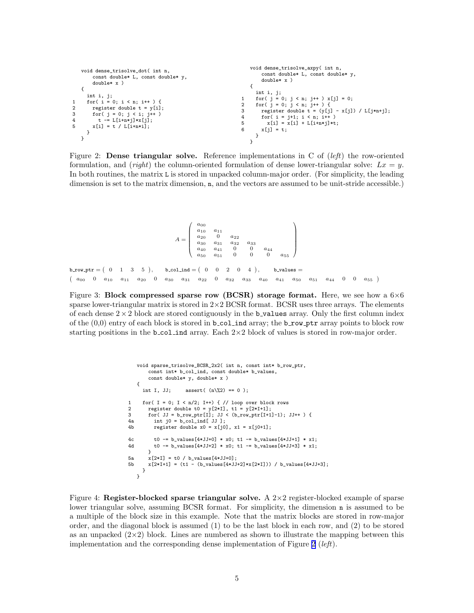| void dense_trisolve_dot( int n,                                                                                                                                                                   | void dense_trisolve_axpy( int n,                                                                                                                                                                                                                                             |
|---------------------------------------------------------------------------------------------------------------------------------------------------------------------------------------------------|------------------------------------------------------------------------------------------------------------------------------------------------------------------------------------------------------------------------------------------------------------------------------|
| const double* L, const double* y,                                                                                                                                                                 | const double* L, const double* y,                                                                                                                                                                                                                                            |
| $double* x$ )                                                                                                                                                                                     | $double* x$ )                                                                                                                                                                                                                                                                |
| int i, j<br>for( i = 0; i < n; i++ ) {<br>1<br>$\overline{2}$<br>register double $t = y[i]$ ;<br>3<br>for( $j = 0$ ; $j < i$ ; $j++)$<br>$t = L[i+n*1]*x[j];$<br>4<br>$x[i] = t / L[i+n*1];$<br>5 | int i, j;<br>for( $j = 0$ ; $j < n$ ; $j++)$ x[ $j$ ] = 0;<br>for( $j = 0$ ; $j < n$ ; $j++)$ {<br>$\overline{2}$<br>register double t = $(y[i] - x[i]) / L[i*n+j];$<br>3<br>for( $i = j+1$ ; $i < n$ ; $i++)$<br>4<br>$x[i] = x[i] + L[i+n*1]*t;$<br>5<br>6<br>$x[i] = t$ ; |

<span id="page-4-0"></span>Figure 2: **Dense triangular solve.** Reference implementations in C of  $(left)$  the row-oriented formulation, and (right) the column-oriented formulation of dense lower-triangular solve:  $Lx = y$ . In both routines, the matrix L is stored in unpacked column-major order. (For simplicity, the leading dimension is set to the matrix dimension, n, and the vectors are assumed to be unit-stride accessible.)

```
A =\sqrt{ }\overline{\phantom{a}}a00
a10 a11
a20 0 a22
a30 a31 a32 a33
a40 a41 0 0 a44
a50 a51 0 0 0 a55
                                                                                                                                              <sup>1</sup>
                                                                                                                                              \Bigg\}b row ptr = (0 \t 1 \t 3 \t 5), \quad b_{\text{col-ind}} = (0 \ 0 \ 2 \ 0 \ 4)b values =\left(\begin{array}{cccccccccccc} a_{00} & 0 & a_{10} & a_{11} & a_{20} & 0 & a_{30} & a_{31} & a_{22} & 0 & a_{32} & a_{33} & a_{40} & a_{41} & a_{50} & a_{51} & a_{44} & 0 & 0 & a_{55}\end{array}\right)
```
<span id="page-4-1"></span>Figure 3: Block compressed sparse row (BCSR) storage format. Here, we see how a  $6\times6$ sparse lower-triangular matrix is stored in  $2\times2$  BCSR format. BCSR uses three arrays. The elements of each dense  $2 \times 2$  block are stored contiguously in the b values array. Only the first column index of the  $(0,0)$  entry of each block is stored in **b\_col\_ind** array; the **b\_row\_ptr** array points to block row starting positions in the  $b_{col}$  ind array. Each  $2\times 2$  block of values is stored in row-major order.

```
void sparse_trisolve_BCSR_2x2( int n, const int* b_row_ptr,
         const int* b_col_ind, const double* b_values,
         const double* y, double* x )
    {
       int I, JJ; assert( (n\frac{0.2}{2}) = 0 );
1 for( I = 0; I < n/2; I++) { // loop over block rows<br>2 register double t0 = v[2*I], t1 = v[2*I+1]:
         register double t0 = y[2*1], t1 = y[2*1+1];
3 for( JJ = b_{\text{row\_ptr}}[I]; JJ < (b_{\text{row\_ptr}}[I+1]-1); JJ++ ) {<br>4a int i0 = b col ind [ J, I ]:
4a int j0 = \frac{1}{2} ind \left[\begin{array}{cc} JJ \\ J \end{array}\right];<br>4b register double x0 = x [j0]
            register double x0 = x[j0], x1 = x[j0+1];
4c t0 - b_values[4*JJ+0] * x0; t1 - b_values[4*JJ+1] * x1;<br>4d t0 - b values[4*JJ+2] * x0; t1 - b values[4*JJ+3] * x1;
            t0 -= b_values[4*JJ+2] * x0; t1 -= b_values[4*JJ+3] * x1;
}
5a x[2*I] = t0 / b_values[4*JJ+0];
5b x[2*I+1] = (t1 - (b_values[4*JJ+2]*x[2*I])) / b_values[4*JJ+3];}
    }
```
<span id="page-4-2"></span>Figure 4: Register-blocked sparse triangular solve. A  $2\times 2$  register-blocked example of sparse lower triangular solve, assuming BCSR format. For simplicity, the dimension n is assumed to be a multiple of the block size in this example. Note that the matrix blocks are stored in row-major order, and the diagonal block is assumed (1) to be the last block in each row, and (2) to be stored as an unpacked  $(2\times2)$  block. Lines are numbered as shown to illustrate the mapping between this implementation and the corresponding dense implementation of Figure [2](#page-4-0) ( $left$ ).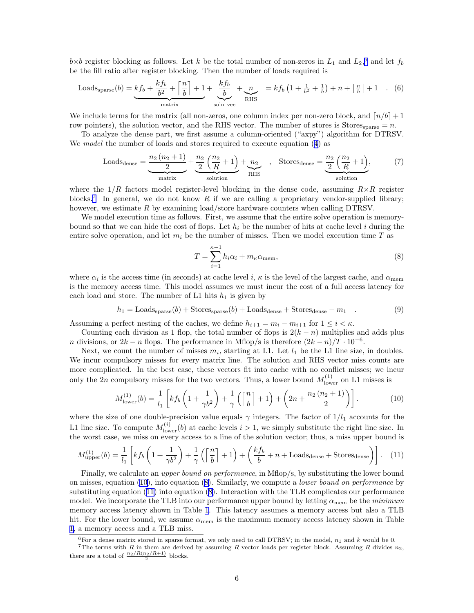$b \times b$  register blocking as follows. Let k be the total number of non-zeros in  $L_1$  and  $L_2$ ,<sup>[6](#page-5-0)</sup> and let  $f_b$ be the fill ratio after register blocking. Then the number of loads required is

$$
\text{Loads}_{\text{sparse}}(b) = \underbrace{k f_b + \frac{k f_b}{b^2} + \left\lceil \frac{n}{b} \right\rceil + 1}_{\text{matrix}} + \underbrace{\frac{k f_b}{b}}_{\text{soln vec}} + \underbrace{n}_{\text{RHS}} = k f_b \left( 1 + \frac{1}{b^2} + \frac{1}{b} \right) + n + \left\lceil \frac{n}{b} \right\rceil + 1 \quad . \quad (6)
$$

We include terms for the matrix (all non-zeros, one column index per non-zero block, and  $\lceil n/b \rceil + 1$ row pointers), the solution vector, and the RHS vector. The number of stores is Stores $_{\text{sparse}} = n$ .

To analyze the dense part, we first assume a column-oriented ("axpy") algorithm for DTRSV. We *model* the number of loads and stores required to execute equation [\(4\)](#page-2-1) as

$$
\text{Loads}_{\text{dense}} = \underbrace{\frac{n_2(n_2+1)}{2}}_{\text{matrix}} + \underbrace{\frac{n_2}{2}(\frac{n_2}{R}+1)}_{\text{solution}} + \underbrace{n_2}_{\text{RHS}} \quad , \quad \text{Stores}_{\text{dense}} = \underbrace{\frac{n_2}{2}(\frac{n_2}{R}+1)}_{\text{solution}}, \tag{7}
$$

where the  $1/R$  factors model register-level blocking in the dense code, assuming  $R \times R$  register blocks.<sup>[7](#page-5-1)</sup> In general, we do not know R if we are calling a proprietary vendor-supplied library; however, we estimate R by examining load/store hardware counters when calling DTRSV.

We model execution time as follows. First, we assume that the entire solve operation is memorybound so that we can hide the cost of flops. Let  $h_i$  be the number of hits at cache level i during the entire solve operation, and let  $m_i$  be the number of misses. Then we model execution time T as

<span id="page-5-3"></span>
$$
T = \sum_{i=1}^{\kappa - 1} h_i \alpha_i + m_\kappa \alpha_{\text{mem}},
$$
\n(8)

where  $\alpha_i$  is the access time (in seconds) at cache level i,  $\kappa$  is the level of the largest cache, and  $\alpha_{\text{mem}}$ is the memory access time. This model assumes we must incur the cost of a full access latency for each load and store. The number of L1 hits  $h_1$  is given by

$$
h_1 = \text{Loads}_{\text{sparse}}(b) + \text{Stores}_{\text{sparse}}(b) + \text{Loads}_{\text{dense}} + \text{Stores}_{\text{dense}} - m_1 \quad . \tag{9}
$$

Assuming a perfect nesting of the caches, we define  $h_{i+1} = m_i - m_{i+1}$  for  $1 \leq i < \kappa$ .

Counting each division as 1 flop, the total number of flops is  $2(k - n)$  multiplies and adds plus n divisions, or  $2k - n$  flops. The performance in Mflop/s is therefore  $(2k - n)/T \cdot 10^{-6}$ .

Next, we count the number of misses  $m_i$ , starting at L1. Let  $l_1$  be the L1 line size, in doubles. We incur compulsory misses for every matrix line. The solution and RHS vector miss counts are more complicated. In the best case, these vectors fit into cache with no conflict misses; we incur only the 2n compulsory misses for the two vectors. Thus, a lower bound  $M_{\text{lower}}^{(1)}$  on L1 misses is

<span id="page-5-2"></span>
$$
M_{\text{lower}}^{(1)}(b) = \frac{1}{l_1} \left[ k f_b \left( 1 + \frac{1}{\gamma b^2} \right) + \frac{1}{\gamma} \left( \left[ \frac{n}{b} \right] + 1 \right) + \left( 2n + \frac{n_2 \left( n_2 + 1 \right)}{2} \right) \right]. \tag{10}
$$

where the size of one double-precision value equals  $\gamma$  integers. The factor of  $1/l_1$  accounts for the L1 line size. To compute  $M_{\text{lower}}^{(i)}(b)$  at cache levels  $i > 1$ , we simply substitute the right line size. In the worst case, we miss on every access to a line of the solution vector; thus, a miss upper bound is

<span id="page-5-4"></span>
$$
M_{\text{upper}}^{(1)}(b) = \frac{1}{l_1} \left[ k f_b \left( 1 + \frac{1}{\gamma b^2} \right) + \frac{1}{\gamma} \left( \left[ \frac{n}{b} \right] + 1 \right) + \left( \frac{k f_b}{b} + n + \text{Loads}_{\text{dense}} + \text{Stores}_{\text{dense}} \right) \right]. \tag{11}
$$

Finally, we calculate an *upper bound on performance*, in Mflop/s, by substituting the lower bound onmisses, equation  $(10)$  $(10)$ , into equation  $(8)$ . Similarly, we compute a *lower bound on performance* by substituting equation([11\)](#page-5-4) into equation [\(8](#page-5-3)). Interaction with the TLB complicates our performance model. We incorporate the TLB into our performance upper bound by letting  $\alpha_{\text{mem}}$  be the *minimum* memory access latency shown in Table [1.](#page-1-1) This latency assumes a memory access but also a TLB hit. For the lower bound, we assume  $\alpha_{\text{mem}}$  is the maximum memory access latency shown in Table [1,](#page-1-1) a memory access and a TLB miss.

<span id="page-5-1"></span><span id="page-5-0"></span><sup>&</sup>lt;sup>6</sup>For a dense matrix stored in sparse format, we only need to call DTRSV; in the model,  $n_1$  and k would be 0.

<sup>&</sup>lt;sup>7</sup>The terms with R in them are derived by assuming R vector loads per register block. Assuming R divides  $n_2$ , there are a total of  $\frac{n_2/R(n_2/R+1)}{2}$  blocks.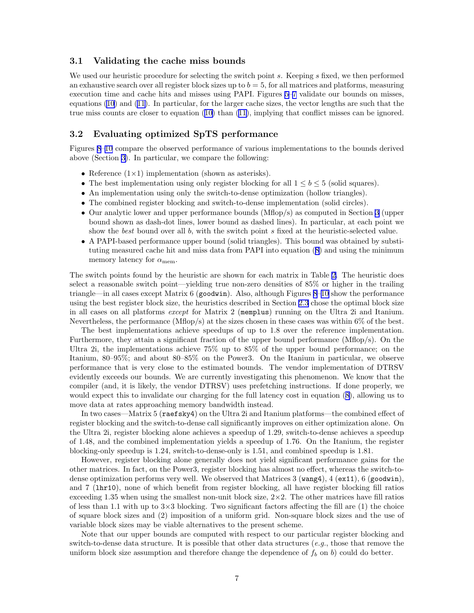#### <span id="page-6-0"></span>3.1 Validating the cache miss bounds

We used our heuristic procedure for selecting the switch point  $s$ . Keeping  $s$  fixed, we then performed an exhaustive search over all register block sizes up to  $b = 5$ , for all matrices and platforms, measuring execution time and cache hits and misses using PAPI. Figures [5](#page-7-0)[–7](#page-7-1) validate our bounds on misses, equations $(10)$  $(10)$  and  $(11)$ . In particular, for the larger cache sizes, the vector lengths are such that the true miss counts are closer to equation [\(10](#page-5-2)) than [\(11](#page-5-4)), implying that conflict misses can be ignored.

#### <span id="page-6-1"></span>3.2 Evaluating optimized SpTS performance

Figures [8–](#page-8-0)[10](#page-8-1) compare the observed performance of various implementations to the bounds derived above (Section [3\)](#page-3-1). In particular, we compare the following:

- Reference  $(1\times1)$  implementation (shown as asterisks).
- The best implementation using only register blocking for all  $1 \leq b \leq 5$  (solid squares).
- An implementation using only the switch-to-dense optimization (hollow triangles).
- The combined register blocking and switch-to-dense implementation (solid circles).
- Our analytic lower and upper performance bounds (Mflop/s) as computed in Section [3](#page-3-1) (upper bound shown as dash-dot lines, lower bound as dashed lines). In particular, at each point we show the best bound over all b, with the switch point s fixed at the heuristic-selected value.
- A PAPI-based performance upper bound (solid triangles). This bound was obtained by substituting measured cache hit and miss data from PAPI into equation [\(8](#page-5-3)) and using the minimum memory latency for  $\alpha_{\text{mem}}$ .

The switch points found by the heuristic are shown for each matrix in Table [2.](#page-1-2) The heuristic does select a reasonable switch point—yielding true non-zero densities of 85% or higher in the trailing triangle—in all cases except Matrix 6 (goodwin). Also, although Figures [8–](#page-8-0)[10](#page-8-1) show the performance using the best register block size, the heuristics described in Section [2.3](#page-3-0) chose the optimal block size in all cases on all platforms except for Matrix 2 (memplus) running on the Ultra 2i and Itanium. Nevertheless, the performance  $(Mflop/s)$  at the sizes chosen in these cases was within 6% of the best.

The best implementations achieve speedups of up to 1.8 over the reference implementation. Furthermore, they attain a significant fraction of the upper bound performance (Mflop/s). On the Ultra 2i, the implementations achieve 75% up to 85% of the upper bound performance; on the Itanium, 80–95%; and about 80–85% on the Power3. On the Itanium in particular, we observe performance that is very close to the estimated bounds. The vendor implementation of DTRSV evidently exceeds our bounds. We are currently investigating this phenomenon. We know that the compiler (and, it is likely, the vendor DTRSV) uses prefetching instructions. If done properly, we would expect this to invalidate our charging for the full latency cost in equation [\(8](#page-5-3)), allowing us to move data at rates approaching memory bandwidth instead.

In two cases—Matrix 5 (raefsky4) on the Ultra 2i and Itanium platforms—the combined effect of register blocking and the switch-to-dense call significantly improves on either optimization alone. On the Ultra 2i, register blocking alone achieves a speedup of 1.29, switch-to-dense achieves a speedup of 1.48, and the combined implementation yields a speedup of 1.76. On the Itanium, the register blocking-only speedup is 1.24, switch-to-dense-only is 1.51, and combined speedup is 1.81.

However, register blocking alone generally does not yield significant performance gains for the other matrices. In fact, on the Power3, register blocking has almost no effect, whereas the switch-todense optimization performs very well. We observed that Matrices 3 (wang4), 4 (ex11), 6 (goodwin), and 7 (lhr10), none of which benefit from register blocking, all have register blocking fill ratios exceeding 1.35 when using the smallest non-unit block size,  $2\times2$ . The other matrices have fill ratios of less than 1.1 with up to  $3\times3$  blocking. Two significant factors affecting the fill are (1) the choice of square block sizes and (2) imposition of a uniform grid. Non-square block sizes and the use of variable block sizes may be viable alternatives to the present scheme.

Note that our upper bounds are computed with respect to our particular register blocking and switch-to-dense data structure. It is possible that other data structures (e.g., those that remove the uniform block size assumption and therefore change the dependence of  $f<sub>b</sub>$  on b) could do better.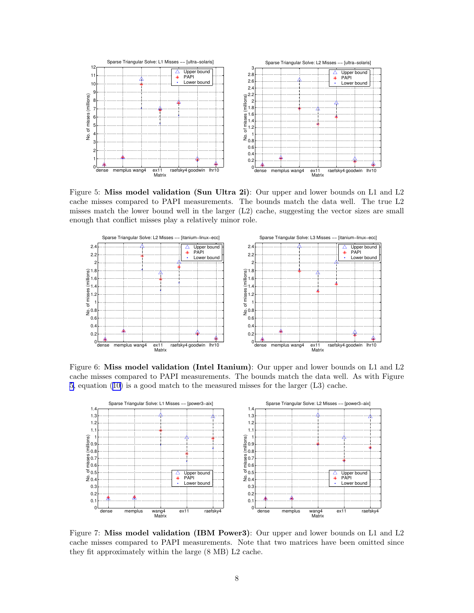

<span id="page-7-0"></span>Figure 5: Miss model validation (Sun Ultra 2i): Our upper and lower bounds on L1 and L2 cache misses compared to PAPI measurements. The bounds match the data well. The true L2 misses match the lower bound well in the larger (L2) cache, suggesting the vector sizes are small enough that conflict misses play a relatively minor role.



Figure 6: Miss model validation (Intel Itanium): Our upper and lower bounds on L1 and L2 cache misses compared to PAPI measurements. The bounds match the data well. As with Figure [5,](#page-7-0) equation([10\)](#page-5-2) is a good match to the measured misses for the larger (L3) cache.



<span id="page-7-1"></span>Figure 7: Miss model validation (IBM Power3): Our upper and lower bounds on L1 and L2 cache misses compared to PAPI measurements. Note that two matrices have been omitted since they fit approximately within the large (8 MB) L2 cache.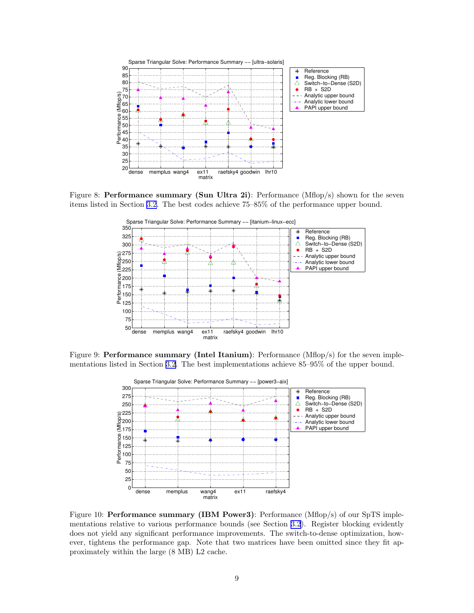

Figure 8: Performance summary (Sun Ultra 2i): Performance (Mflop/s) shown for the seven items listed in Section [3.2](#page-6-1). The best codes achieve 75–85% of the performance upper bound.

<span id="page-8-0"></span>

Figure 9: **Performance summary (Intel Itanium)**: Performance (Mflop/s) for the seven implementations listed in Section [3.2](#page-6-1). The best implementations achieve 85–95% of the upper bound.



<span id="page-8-1"></span>Figure 10: **Performance summary (IBM Power3)**: Performance (Mflop/s) of our SpTS implementations relative to various performance bounds (see Section [3.2\)](#page-6-1). Register blocking evidently does not yield any significant performance improvements. The switch-to-dense optimization, however, tightens the performance gap. Note that two matrices have been omitted since they fit approximately within the large (8 MB) L2 cache.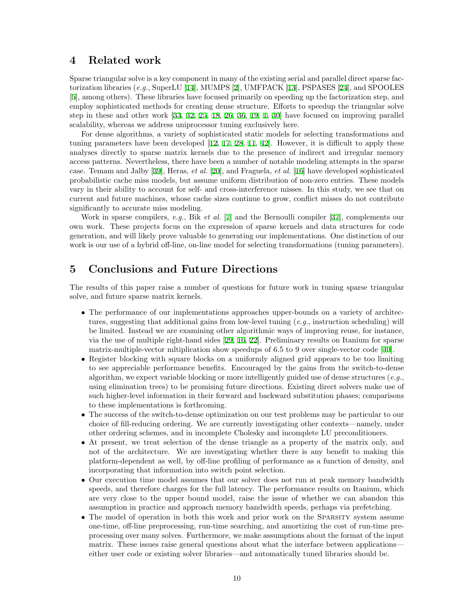### 4 Related work

Sparse triangular solve is a key component in many of the existing serial and parallel direct sparse fac-torizationlibraries (e.g., SuperLU [[14\]](#page-10-3), MUMPS [\[2](#page-10-7)], UMFPACK [[13\]](#page-10-8), PSPASES [[24\]](#page-11-10), and SPOOLES [[5\]](#page-10-9), among others). These libraries have focused primarily on speeding up the factorization step, and employ sophisticated methods for creating dense structure. Efforts to speedup the triangular solve step in these and other work [\[33,](#page-11-11) [32,](#page-11-12) [25](#page-11-13), [18,](#page-10-10) [26](#page-11-14), [36,](#page-11-15) [19,](#page-10-11) [1](#page-10-12), [30\]](#page-11-16) have focused on improving parallel scalability, whereas we address uniprocessor tuning exclusively here.

For dense algorithms, a variety of sophisticated static models for selecting transformations and tuning parameters have been developed[[12,](#page-10-13) [17](#page-10-14), [28,](#page-11-17) [11](#page-10-15), [42\]](#page-11-18). However, it is difficult to apply these analyses directly to sparse matrix kernels due to the presence of indirect and irregular memory access patterns. Nevertheless, there have been a number of notable modeling attempts in the sparse case. Temam and Jalby[[39\]](#page-11-19), Heras, et al. [\[20](#page-11-20)], and Fraguela, et al. [[16\]](#page-10-16) have developed sophisticated probabilistic cache miss models, but assume uniform distribution of non-zero entries. These models vary in their ability to account for self- and cross-interference misses. In this study, we see that on current and future machines, whose cache sizes continue to grow, conflict misses do not contribute significantly to accurate miss modeling.

Work in sparse compilers, e.g., Bik et al. [\[7](#page-10-17)] and the Bernoulli compiler [\[37](#page-11-21)], complements our own work. These projects focus on the expression of sparse kernels and data structures for code generation, and will likely prove valuable to generating our implementations. One distinction of our work is our use of a hybrid off-line, on-line model for selecting transformations (tuning parameters).

### 5 Conclusions and Future Directions

The results of this paper raise a number of questions for future work in tuning sparse triangular solve, and future sparse matrix kernels.

- The performance of our implementations approaches upper-bounds on a variety of architectures, suggesting that additional gains from low-level tuning  $(e.q.,)$  instruction scheduling) will be limited. Instead we are examining other algorithmic ways of improving reuse, for instance, via the use of multiple right-hand sides[[29,](#page-11-22) [16,](#page-10-16) [22\]](#page-11-1). Preliminary results on Itanium for sparse matrix-multiple-vector mltiplication show speedups of 6.5 to 9 over single-vector code[[40\]](#page-11-2).
- Register blocking with square blocks on a uniformly aligned grid appears to be too limiting to see appreciable performance benefits. Encouraged by the gains from the switch-to-dense algorithm, we expect variable blocking or more intelligently guided use of dense structures (*e.g.*, using elimination trees) to be promising future directions. Existing direct solvers make use of such higher-level information in their forward and backward substitution phases; comparisons to these implementations is forthcoming.
- The success of the switch-to-dense optimization on our test problems may be particular to our choice of fill-reducing ordering. We are currently investigating other contexts—namely, under other ordering schemes, and in incomplete Cholesky and incomplete LU preconditioners.
- At present, we treat selection of the dense triangle as a property of the matrix only, and not of the architecture. We are investigating whether there is any benefit to making this platform-dependent as well, by off-line profiling of performance as a function of density, and incorporating that information into switch point selection.
- Our execution time model assumes that our solver does not run at peak memory bandwidth speeds, and therefore charges for the full latency. The performance results on Itanium, which are very close to the upper bound model, raise the issue of whether we can abandon this assumption in practice and approach memory bandwidth speeds, perhaps via prefetching.
- The model of operation in both this work and prior work on the SPARSITY system assume one-time, off-line preprocessing, run-time searching, and amortizing the cost of run-time preprocessing over many solves. Furthermore, we make assumptions about the format of the input matrix. These issues raise general questions about what the interface between applications either user code or existing solver libraries—and automatically tuned libraries should be.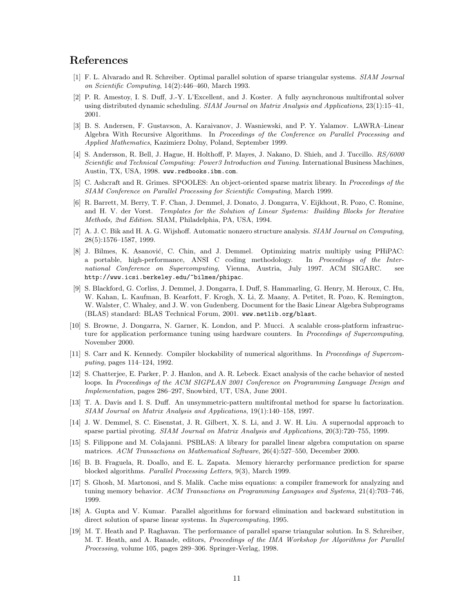### References

- <span id="page-10-12"></span>[1] F. L. Alvarado and R. Schreiber. Optimal parallel solution of sparse triangular systems. SIAM Journal on Scientific Computing, 14(2):446–460, March 1993.
- <span id="page-10-7"></span>[2] P. R. Amestoy, I. S. Duff, J.-Y. L'Excellent, and J. Koster. A fully asynchronous multifrontal solver using distributed dynamic scheduling. SIAM Journal on Matrix Analysis and Applications, 23(1):15–41, 2001.
- [3] B. S. Andersen, F. Gustavson, A. Karaivanov, J. Wasniewski, and P. Y. Yalamov. LAWRA–Linear Algebra With Recursive Algorithms. In Proceedings of the Conference on Parallel Processing and Applied Mathematics, Kazimierz Dolny, Poland, September 1999.
- <span id="page-10-2"></span>[4] S. Andersson, R. Bell, J. Hague, H. Holthoff, P. Mayes, J. Nakano, D. Shieh, and J. Tuccillo. RS/6000 Scientific and Technical Computing: Power3 Introduction and Tuning. International Business Machines, Austin, TX, USA, 1998. www.redbooks.ibm.com.
- <span id="page-10-9"></span>[5] C. Ashcraft and R. Grimes. SPOOLES: An object-oriented sparse matrix library. In Proceedings of the SIAM Conference on Parallel Processing for Scientific Computing, March 1999.
- <span id="page-10-4"></span>[6] R. Barrett, M. Berry, T. F. Chan, J. Demmel, J. Donato, J. Dongarra, V. Eijkhout, R. Pozo, C. Romine, and H. V. der Vorst. Templates for the Solution of Linear Systems: Building Blocks for Iterative Methods, 2nd Edition. SIAM, Philadelphia, PA, USA, 1994.
- <span id="page-10-17"></span>[7] A. J. C. Bik and H. A. G. Wijshoff. Automatic nonzero structure analysis. SIAM Journal on Computing, 28(5):1576–1587, 1999.
- <span id="page-10-0"></span>[8] J. Bilmes, K. Asanović, C. Chin, and J. Demmel. Optimizing matrix multiply using PHiPAC: a portable, high-performance, ANSI C coding methodology. In Proceedings of the International Conference on Supercomputing, Vienna, Austria, July 1997. ACM SIGARC. see http://www.icsi.berkeley.edu/~bilmes/phipac.
- <span id="page-10-5"></span>[9] S. Blackford, G. Corliss, J. Demmel, J. Dongarra, I. Duff, S. Hammarling, G. Henry, M. Heroux, C. Hu, W. Kahan, L. Kaufman, B. Kearfott, F. Krogh, X. Li, Z. Maany, A. Petitet, R. Pozo, K. Remington, W. Walster, C. Whaley, and J. W. von Gudenberg. Document for the Basic Linear Algebra Subprograms (BLAS) standard: BLAS Technical Forum, 2001. www.netlib.org/blast.
- <span id="page-10-1"></span>[10] S. Browne, J. Dongarra, N. Garner, K. London, and P. Mucci. A scalable cross-platform infrastructure for application performance tuning using hardware counters. In Proceedings of Supercomputing, November 2000.
- <span id="page-10-15"></span>[11] S. Carr and K. Kennedy. Compiler blockability of numerical algorithms. In Proceedings of Supercomputing, pages 114–124, 1992.
- <span id="page-10-13"></span>[12] S. Chatterjee, E. Parker, P. J. Hanlon, and A. R. Lebeck. Exact analysis of the cache behavior of nested loops. In Proceedings of the ACM SIGPLAN 2001 Conference on Programming Language Design and Implementation, pages 286–297, Snowbird, UT, USA, June 2001.
- <span id="page-10-8"></span>[13] T. A. Davis and I. S. Duff. An unsymmetric-pattern multifrontal method for sparse lu factorization. SIAM Journal on Matrix Analysis and Applications, 19(1):140–158, 1997.
- <span id="page-10-3"></span>[14] J. W. Demmel, S. C. Eisenstat, J. R. Gilbert, X. S. Li, and J. W. H. Liu. A supernodal approach to sparse partial pivoting. SIAM Journal on Matrix Analysis and Applications, 20(3):720–755, 1999.
- <span id="page-10-6"></span>[15] S. Filippone and M. Colajanni. PSBLAS: A library for parallel linear algebra computation on sparse matrices. ACM Transactions on Mathematical Software, 26(4):527–550, December 2000.
- <span id="page-10-16"></span>[16] B. B. Fraguela, R. Doallo, and E. L. Zapata. Memory hierarchy performance prediction for sparse blocked algorithms. Parallel Processing Letters, 9(3), March 1999.
- <span id="page-10-14"></span>[17] S. Ghosh, M. Martonosi, and S. Malik. Cache miss equations: a compiler framework for analyzing and tuning memory behavior. ACM Transactions on Programming Languages and Systems, 21(4):703-746, 1999.
- <span id="page-10-10"></span>[18] A. Gupta and V. Kumar. Parallel algorithms for forward elimination and backward substitution in direct solution of sparse linear systems. In Supercomputing, 1995.
- <span id="page-10-11"></span>[19] M. T. Heath and P. Raghavan. The performance of parallel sparse triangular solution. In S. Schreiber, M. T. Heath, and A. Ranade, editors, Proceedings of the IMA Workshop for Algorithms for Parallel Processing, volume 105, pages 289–306. Springer-Verlag, 1998.